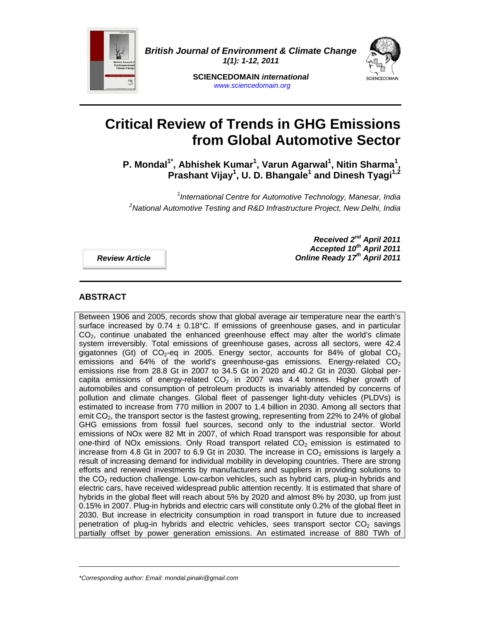

*British Journal of Environment & Climate Change 1(1): 1-12, 2011* 



**SCIENCEDOMAIN** *international www.sciencedomain.org*

# **Critical Review of Trends in GHG Emissions from Global Automotive Sector**

P. Mondal<sup>1\*</sup>, Abhishek Kumar<sup>1</sup>, Varun Agarwal<sup>1</sup>, Nitin Sharma<sup>1</sup>, Prashant Vijay<sup>1</sup>, U. D. Bhangale<sup>1</sup> and Dinesh Tyagi<sup>1,2</sup>

*1 International Centre for Automotive Technology, Manesar, India 2 National Automotive Testing and R&D Infrastructure Project, New Delhi, India* 

*Review Article* 

*Received 2nd April 2011 Accepted 10th April 2011*  **Online Ready 17th April 2011** 

# **ABSTRACT**

Between 1906 and 2005, records show that global average air temperature near the earth's surface increased by  $0.74 \pm 0.18^{\circ}$ C. If emissions of greenhouse gases, and in particular  $CO<sub>2</sub>$ , continue unabated the enhanced greenhouse effect may alter the world's climate system irreversibly. Total emissions of greenhouse gases, across all sectors, were 42.4 gigatonnes (Gt) of  $CO_2$ -eq in 2005. Energy sector, accounts for 84% of global  $CO_2$ emissions and 64% of the world's greenhouse-gas emissions. Energy-related  $CO<sub>2</sub>$ emissions rise from 28.8 Gt in 2007 to 34.5 Gt in 2020 and 40.2 Gt in 2030. Global percapita emissions of energy-related  $CO<sub>2</sub>$  in 2007 was 4.4 tonnes. Higher growth of automobiles and consumption of petroleum products is invariably attended by concerns of pollution and climate changes. Global fleet of passenger light-duty vehicles (PLDVs) is estimated to increase from 770 million in 2007 to 1.4 billion in 2030. Among all sectors that emit  $CO<sub>2</sub>$ , the transport sector is the fastest growing, representing from 22% to 24% of global GHG emissions from fossil fuel sources, second only to the industrial sector. World emissions of NOx were 82 Mt in 2007, of which Road transport was responsible for about one-third of NOx emissions. Only Road transport related  $CO<sub>2</sub>$  emission is estimated to increase from 4.8 Gt in 2007 to 6.9 Gt in 2030. The increase in  $CO<sub>2</sub>$  emissions is largely a result of increasing demand for individual mobility in developing countries. There are strong efforts and renewed investments by manufacturers and suppliers in providing solutions to the  $CO<sub>2</sub>$  reduction challenge. Low-carbon vehicles, such as hybrid cars, plug-in hybrids and electric cars, have received widespread public attention recently. It is estimated that share of hybrids in the global fleet will reach about 5% by 2020 and almost 8% by 2030, up from just 0.15% in 2007. Plug-in hybrids and electric cars will constitute only 0.2% of the global fleet in 2030. But increase in electricity consumption in road transport in future due to increased penetration of plug-in hybrids and electric vehicles, sees transport sector  $CO<sub>2</sub>$  savings partially offset by power generation emissions. An estimated increase of 880 TWh of

 $\_$  ,  $\_$  ,  $\_$  ,  $\_$  ,  $\_$  ,  $\_$  ,  $\_$  ,  $\_$  ,  $\_$  ,  $\_$  ,  $\_$  ,  $\_$  ,  $\_$  ,  $\_$  ,  $\_$  ,  $\_$  ,  $\_$  ,  $\_$  ,  $\_$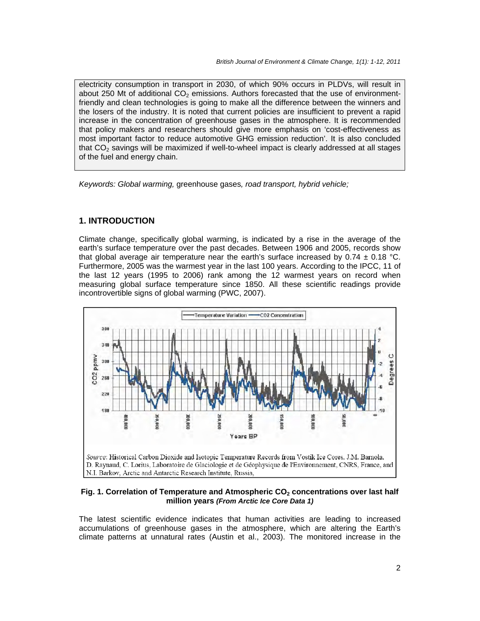electricity consumption in transport in 2030, of which 90% occurs in PLDVs, will result in about 250 Mt of additional  $CO<sub>2</sub>$  emissions. Authors forecasted that the use of environmentfriendly and clean technologies is going to make all the difference between the winners and the losers of the industry. It is noted that current policies are insufficient to prevent a rapid increase in the concentration of greenhouse gases in the atmosphere. It is recommended that policy makers and researchers should give more emphasis on 'cost-effectiveness as most important factor to reduce automotive GHG emission reduction'. It is also concluded that  $CO<sub>2</sub>$  savings will be maximized if well-to-wheel impact is clearly addressed at all stages of the fuel and energy chain.

*Keywords: Global warming,* greenhouse gases*, road transport, hybrid vehicle;* 

# **1. INTRODUCTION**

Climate change, specifically global warming, is indicated by a rise in the average of the earth's surface temperature over the past decades. Between 1906 and 2005, records show that global average air temperature near the earth's surface increased by  $0.74 \pm 0.18$  °C. Furthermore, 2005 was the warmest year in the last 100 years. According to the IPCC, 11 of the last 12 years (1995 to 2006) rank among the 12 warmest years on record when measuring global surface temperature since 1850. All these scientific readings provide incontrovertible signs of global warming (PWC, 2007).



#### Fig. 1. Correlation of Temperature and Atmospheric CO<sub>2</sub> concentrations over last half **million years** *(From Arctic Ice Core Data 1)*

The latest scientific evidence indicates that human activities are leading to increased accumulations of greenhouse gases in the atmosphere, which are altering the Earth's climate patterns at unnatural rates (Austin et al., 2003). The monitored increase in the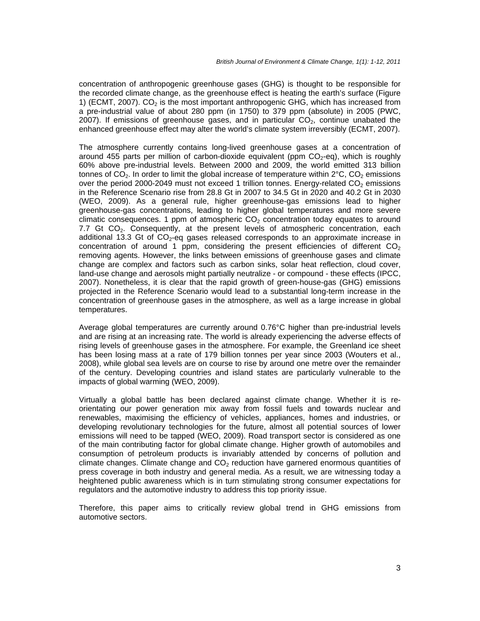concentration of anthropogenic greenhouse gases (GHG) is thought to be responsible for the recorded climate change, as the greenhouse effect is heating the earth's surface (Figure 1) (ECMT, 2007).  $CO<sub>2</sub>$  is the most important anthropogenic GHG, which has increased from a pre-industrial value of about 280 ppm (in 1750) to 379 ppm (absolute) in 2005 (PWC, 2007). If emissions of greenhouse gases, and in particular  $CO<sub>2</sub>$ , continue unabated the enhanced greenhouse effect may alter the world's climate system irreversibly (ECMT, 2007).

The atmosphere currently contains long-lived greenhouse gases at a concentration of around 455 parts per million of carbon-dioxide equivalent (ppm  $CO<sub>2</sub>$ -eq), which is roughly 60% above pre-industrial levels. Between 2000 and 2009, the world emitted 313 billion tonnes of  $CO<sub>2</sub>$ . In order to limit the global increase of temperature within  $2^{\circ}C$ ,  $CO<sub>2</sub>$  emissions over the period 2000-2049 must not exceed 1 trillion tonnes. Energy-related  $CO<sub>2</sub>$  emissions in the Reference Scenario rise from 28.8 Gt in 2007 to 34.5 Gt in 2020 and 40.2 Gt in 2030 (WEO, 2009). As a general rule, higher greenhouse-gas emissions lead to higher greenhouse-gas concentrations, leading to higher global temperatures and more severe climatic consequences. 1 ppm of atmospheric  $CO<sub>2</sub>$  concentration today equates to around 7.7 Gt  $CO<sub>2</sub>$ . Consequently, at the present levels of atmospheric concentration, each additional 13.3 Gt of  $CO<sub>2</sub>$ -eq gases released corresponds to an approximate increase in concentration of around 1 ppm, considering the present efficiencies of different  $CO<sub>2</sub>$ removing agents. However, the links between emissions of greenhouse gases and climate change are complex and factors such as carbon sinks, solar heat reflection, cloud cover, land-use change and aerosols might partially neutralize - or compound - these effects (IPCC, 2007). Nonetheless, it is clear that the rapid growth of green-house-gas (GHG) emissions projected in the Reference Scenario would lead to a substantial long-term increase in the concentration of greenhouse gases in the atmosphere, as well as a large increase in global temperatures.

Average global temperatures are currently around 0.76°C higher than pre-industrial levels and are rising at an increasing rate. The world is already experiencing the adverse effects of rising levels of greenhouse gases in the atmosphere. For example, the Greenland ice sheet has been losing mass at a rate of 179 billion tonnes per year since 2003 (Wouters et al., 2008), while global sea levels are on course to rise by around one metre over the remainder of the century. Developing countries and island states are particularly vulnerable to the impacts of global warming (WEO, 2009).

Virtually a global battle has been declared against climate change. Whether it is reorientating our power generation mix away from fossil fuels and towards nuclear and renewables, maximising the efficiency of vehicles, appliances, homes and industries, or developing revolutionary technologies for the future, almost all potential sources of lower emissions will need to be tapped (WEO, 2009). Road transport sector is considered as one of the main contributing factor for global climate change. Higher growth of automobiles and consumption of petroleum products is invariably attended by concerns of pollution and climate changes. Climate change and  $CO<sub>2</sub>$  reduction have garnered enormous quantities of press coverage in both industry and general media. As a result, we are witnessing today a heightened public awareness which is in turn stimulating strong consumer expectations for regulators and the automotive industry to address this top priority issue.

Therefore, this paper aims to critically review global trend in GHG emissions from automotive sectors.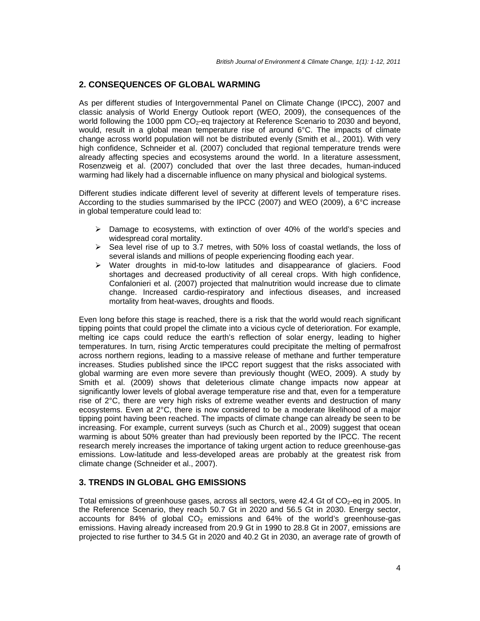#### **2. CONSEQUENCES OF GLOBAL WARMING**

As per different studies of Intergovernmental Panel on Climate Change (IPCC), 2007 and classic analysis of World Energy Outlook report (WEO, 2009), the consequences of the world following the 1000 ppm  $CO<sub>2</sub>$ -eq trajectory at Reference Scenario to 2030 and beyond, would, result in a global mean temperature rise of around 6°C. The impacts of climate change across world population will not be distributed evenly (Smith et al., 2001). With very high confidence, Schneider et al. (2007) concluded that regional temperature trends were already affecting species and ecosystems around the world. In a literature assessment, Rosenzweig et al. (2007) concluded that over the last three decades, human-induced warming had likely had a discernable influence on many physical and biological systems.

Different studies indicate different level of severity at different levels of temperature rises. According to the studies summarised by the IPCC (2007) and WEO (2009), a 6°C increase in global temperature could lead to:

- $\triangleright$  Damage to ecosystems, with extinction of over 40% of the world's species and widespread coral mortality.
- $\triangleright$  Sea level rise of up to 3.7 metres, with 50% loss of coastal wetlands, the loss of several islands and millions of people experiencing flooding each year.
- $\triangleright$  Water droughts in mid-to-low latitudes and disappearance of glaciers. Food shortages and decreased productivity of all cereal crops. With high confidence, Confalonieri et al. (2007) projected that malnutrition would increase due to climate change. Increased cardio-respiratory and infectious diseases, and increased mortality from heat-waves, droughts and floods.

Even long before this stage is reached, there is a risk that the world would reach significant tipping points that could propel the climate into a vicious cycle of deterioration. For example, melting ice caps could reduce the earth's reflection of solar energy, leading to higher temperatures. In turn, rising Arctic temperatures could precipitate the melting of permafrost across northern regions, leading to a massive release of methane and further temperature increases. Studies published since the IPCC report suggest that the risks associated with global warming are even more severe than previously thought (WEO, 2009). A study by Smith et al. (2009) shows that deleterious climate change impacts now appear at significantly lower levels of global average temperature rise and that, even for a temperature rise of 2°C, there are very high risks of extreme weather events and destruction of many ecosystems. Even at 2°C, there is now considered to be a moderate likelihood of a major tipping point having been reached. The impacts of climate change can already be seen to be increasing. For example, current surveys (such as Church et al., 2009) suggest that ocean warming is about 50% greater than had previously been reported by the IPCC. The recent research merely increases the importance of taking urgent action to reduce greenhouse-gas emissions. Low-latitude and less-developed areas are probably at the greatest risk from climate change (Schneider et al., 2007).

#### **3. TRENDS IN GLOBAL GHG EMISSIONS**

Total emissions of greenhouse gases, across all sectors, were 42.4 Gt of  $CO<sub>2</sub>$ -eq in 2005. In the Reference Scenario, they reach 50.7 Gt in 2020 and 56.5 Gt in 2030. Energy sector, accounts for 84% of global  $CO<sub>2</sub>$  emissions and 64% of the world's greenhouse-gas emissions. Having already increased from 20.9 Gt in 1990 to 28.8 Gt in 2007, emissions are projected to rise further to 34.5 Gt in 2020 and 40.2 Gt in 2030, an average rate of growth of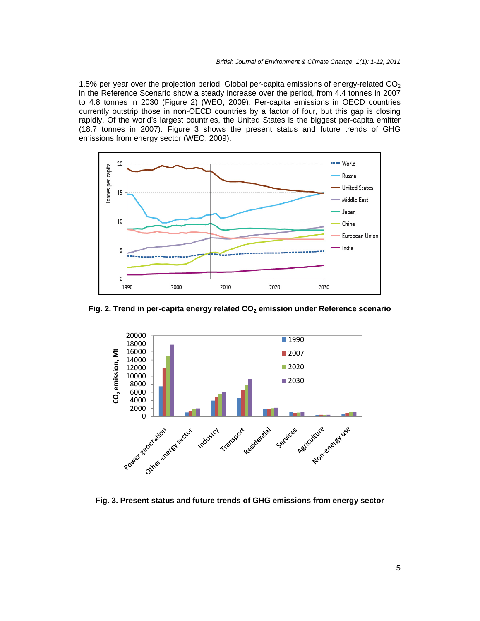1.5% per year over the projection period. Global per-capita emissions of energy-related  $CO<sub>2</sub>$ in the Reference Scenario show a steady increase over the period, from 4.4 tonnes in 2007 to 4.8 tonnes in 2030 (Figure 2) (WEO, 2009). Per-capita emissions in OECD countries currently outstrip those in non-OECD countries by a factor of four, but this gap is closing rapidly. Of the world's largest countries, the United States is the biggest per-capita emitter (18.7 tonnes in 2007). Figure 3 shows the present status and future trends of GHG emissions from energy sector (WEO, 2009).



Fig. 2. Trend in per-capita energy related CO<sub>2</sub> emission under Reference scenario



**Fig. 3. Present status and future trends of GHG emissions from energy sector**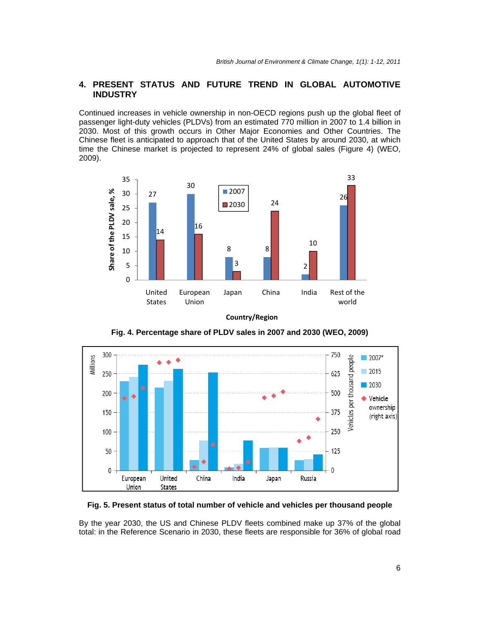# **4. PRESENT STATUS AND FUTURE TREND IN GLOBAL AUTOMOTIVE INDUSTRY**

Continued increases in vehicle ownership in non-OECD regions push up the global fleet of passenger light-duty vehicles (PLDVs) from an estimated 770 million in 2007 to 1.4 billion in 2030. Most of this growth occurs in Other Major Economies and Other Countries. The Chinese fleet is anticipated to approach that of the United States by around 2030, at which time the Chinese market is projected to represent 24% of global sales (Figure 4) (WEO, 2009).



**Country/Region**

**Fig. 4. Percentage share of PLDV sales in 2007 and 2030 (WEO, 2009)** 



#### **Fig. 5. Present status of total number of vehicle and vehicles per thousand people**

By the year 2030, the US and Chinese PLDV fleets combined make up 37% of the global total: in the Reference Scenario in 2030, these fleets are responsible for 36% of global road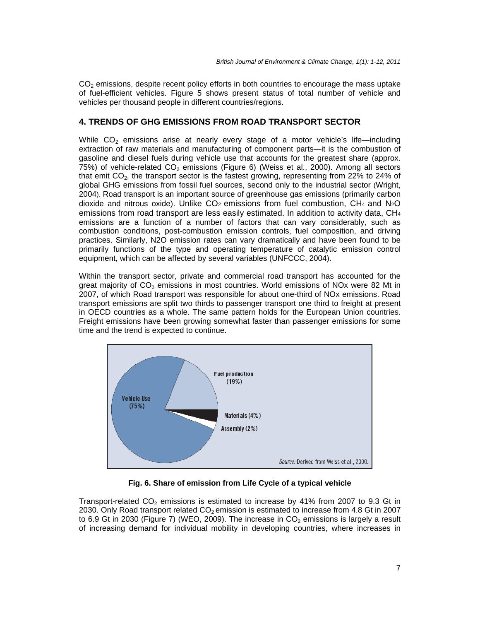$CO<sub>2</sub>$  emissions, despite recent policy efforts in both countries to encourage the mass uptake of fuel-efficient vehicles. Figure 5 shows present status of total number of vehicle and vehicles per thousand people in different countries/regions.

# **4. TRENDS OF GHG EMISSIONS FROM ROAD TRANSPORT SECTOR**

While  $CO<sub>2</sub>$  emissions arise at nearly every stage of a motor vehicle's life—including extraction of raw materials and manufacturing of component parts—it is the combustion of gasoline and diesel fuels during vehicle use that accounts for the greatest share (approx. 75%) of vehicle-related  $CO<sub>2</sub>$  emissions (Figure 6) (Weiss et al., 2000). Among all sectors that emit  $CO<sub>2</sub>$ , the transport sector is the fastest growing, representing from 22% to 24% of global GHG emissions from fossil fuel sources, second only to the industrial sector (Wright, 2004). Road transport is an important source of greenhouse gas emissions (primarily carbon dioxide and nitrous oxide). Unlike  $CO<sub>2</sub>$  emissions from fuel combustion,  $CH<sub>4</sub>$  and  $N<sub>2</sub>O$ emissions from road transport are less easily estimated. In addition to activity data, CH4 emissions are a function of a number of factors that can vary considerably, such as combustion conditions, post-combustion emission controls, fuel composition, and driving practices. Similarly, N2O emission rates can vary dramatically and have been found to be primarily functions of the type and operating temperature of catalytic emission control equipment, which can be affected by several variables (UNFCCC, 2004).

Within the transport sector, private and commercial road transport has accounted for the great majority of  $CO<sub>2</sub>$  emissions in most countries. World emissions of NOx were 82 Mt in 2007, of which Road transport was responsible for about one-third of NOx emissions. Road transport emissions are split two thirds to passenger transport one third to freight at present in OECD countries as a whole. The same pattern holds for the European Union countries. Freight emissions have been growing somewhat faster than passenger emissions for some time and the trend is expected to continue.



**Fig. 6. Share of emission from Life Cycle of a typical vehicle** 

Transport-related  $CO<sub>2</sub>$  emissions is estimated to increase by 41% from 2007 to 9.3 Gt in 2030. Only Road transport related  $CO<sub>2</sub>$  emission is estimated to increase from 4.8 Gt in 2007 to 6.9 Gt in 2030 (Figure 7) (WEO, 2009). The increase in  $CO<sub>2</sub>$  emissions is largely a result of increasing demand for individual mobility in developing countries, where increases in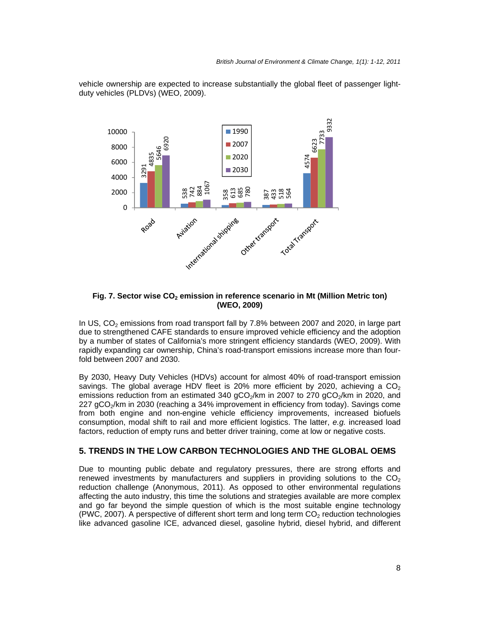

vehicle ownership are expected to increase substantially the global fleet of passenger lightduty vehicles (PLDVs) (WEO, 2009).

#### **Fig. 7. Sector wise CO<sub>2</sub> emission in reference scenario in Mt (Million Metric ton) (WEO, 2009)**

In US,  $CO<sub>2</sub>$  emissions from road transport fall by 7.8% between 2007 and 2020, in large part due to strengthened CAFE standards to ensure improved vehicle efficiency and the adoption by a number of states of California's more stringent efficiency standards (WEO, 2009). With rapidly expanding car ownership, China's road-transport emissions increase more than fourfold between 2007 and 2030.

By 2030, Heavy Duty Vehicles (HDVs) account for almost 40% of road-transport emission savings. The global average HDV fleet is 20% more efficient by 2020, achieving a  $CO<sub>2</sub>$ emissions reduction from an estimated 340  $qCO<sub>2</sub>/km$  in 2007 to 270  $qCO<sub>2</sub>/km$  in 2020, and 227 gCO<sub>2</sub>/km in 2030 (reaching a 34% improvement in efficiency from today). Savings come from both engine and non-engine vehicle efficiency improvements, increased biofuels consumption, modal shift to rail and more efficient logistics. The latter, *e.g.* increased load factors, reduction of empty runs and better driver training, come at low or negative costs.

# **5. TRENDS IN THE LOW CARBON TECHNOLOGIES AND THE GLOBAL OEMS**

Due to mounting public debate and regulatory pressures, there are strong efforts and renewed investments by manufacturers and suppliers in providing solutions to the  $CO<sub>2</sub>$ reduction challenge (Anonymous, 2011). As opposed to other environmental regulations affecting the auto industry, this time the solutions and strategies available are more complex and go far beyond the simple question of which is the most suitable engine technology (PWC, 2007). A perspective of different short term and long term  $CO<sub>2</sub>$  reduction technologies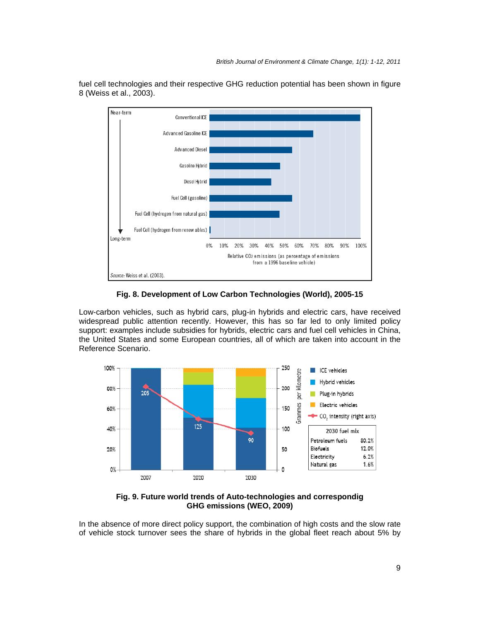

fuel cell technologies and their respective GHG reduction potential has been shown in figure 8 (Weiss et al., 2003).

# **Fig. 8. Development of Low Carbon Technologies (World), 2005-15**

Low-carbon vehicles, such as hybrid cars, plug-in hybrids and electric cars, have received widespread public attention recently. However, this has so far led to only limited policy support: examples include subsidies for hybrids, electric cars and fuel cell vehicles in China, the United States and some European countries, all of which are taken into account in the Reference Scenario.



**Fig. 9. Future world trends of Auto-technologies and correspondig GHG emissions (WEO, 2009)** 

In the absence of more direct policy support, the combination of high costs and the slow rate of vehicle stock turnover sees the share of hybrids in the global fleet reach about 5% by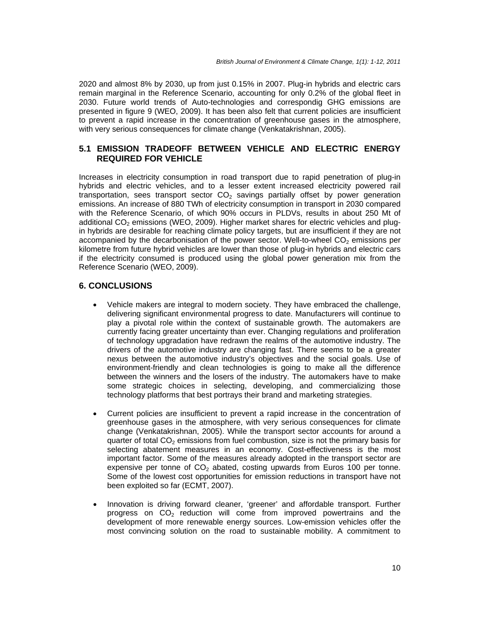2020 and almost 8% by 2030, up from just 0.15% in 2007. Plug-in hybrids and electric cars remain marginal in the Reference Scenario, accounting for only 0.2% of the global fleet in 2030. Future world trends of Auto-technologies and correspondig GHG emissions are presented in figure 9 (WEO, 2009). It has been also felt that current policies are insufficient to prevent a rapid increase in the concentration of greenhouse gases in the atmosphere, with very serious consequences for climate change (Venkatakrishnan, 2005).

# **5.1 EMISSION TRADEOFF BETWEEN VEHICLE AND ELECTRIC ENERGY REQUIRED FOR VEHICLE**

Increases in electricity consumption in road transport due to rapid penetration of plug-in hybrids and electric vehicles, and to a lesser extent increased electricity powered rail transportation, sees transport sector  $CO<sub>2</sub>$  savings partially offset by power generation emissions. An increase of 880 TWh of electricity consumption in transport in 2030 compared with the Reference Scenario, of which 90% occurs in PLDVs, results in about 250 Mt of additional  $CO<sub>2</sub>$  emissions (WEO, 2009). Higher market shares for electric vehicles and plugin hybrids are desirable for reaching climate policy targets, but are insufficient if they are not accompanied by the decarbonisation of the power sector. Well-to-wheel  $CO<sub>2</sub>$  emissions per kilometre from future hybrid vehicles are lower than those of plug-in hybrids and electric cars if the electricity consumed is produced using the global power generation mix from the Reference Scenario (WEO, 2009).

# **6. CONCLUSIONS**

- Vehicle makers are integral to modern society. They have embraced the challenge, delivering significant environmental progress to date. Manufacturers will continue to play a pivotal role within the context of sustainable growth. The automakers are currently facing greater uncertainty than ever. Changing regulations and proliferation of technology upgradation have redrawn the realms of the automotive industry. The drivers of the automotive industry are changing fast. There seems to be a greater nexus between the automotive industry's objectives and the social goals. Use of environment-friendly and clean technologies is going to make all the difference between the winners and the losers of the industry. The automakers have to make some strategic choices in selecting, developing, and commercializing those technology platforms that best portrays their brand and marketing strategies.
- Current policies are insufficient to prevent a rapid increase in the concentration of greenhouse gases in the atmosphere, with very serious consequences for climate change (Venkatakrishnan, 2005). While the transport sector accounts for around a quarter of total  $CO<sub>2</sub>$  emissions from fuel combustion, size is not the primary basis for selecting abatement measures in an economy. Cost-effectiveness is the most important factor. Some of the measures already adopted in the transport sector are expensive per tonne of  $CO<sub>2</sub>$  abated, costing upwards from Euros 100 per tonne. Some of the lowest cost opportunities for emission reductions in transport have not been exploited so far (ECMT, 2007).
- Innovation is driving forward cleaner, 'greener' and affordable transport. Further progress on  $CO<sub>2</sub>$  reduction will come from improved powertrains and the development of more renewable energy sources. Low-emission vehicles offer the most convincing solution on the road to sustainable mobility. A commitment to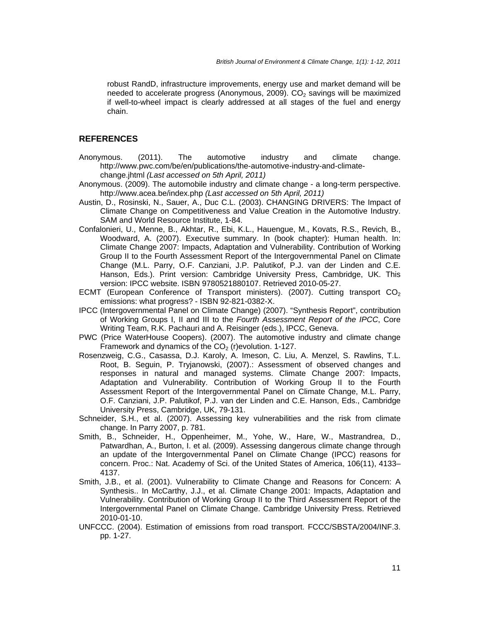robust RandD, infrastructure improvements, energy use and market demand will be needed to accelerate progress (Anonymous, 2009).  $CO<sub>2</sub>$  savings will be maximized if well-to-wheel impact is clearly addressed at all stages of the fuel and energy chain.

#### **REFERENCES**

- Anonymous. (2011). The automotive industry and climate change. http://www.pwc.com/be/en/publications/the-automotive-industry-and-climatechange.jhtml *(Last accessed on 5th April, 2011)*
- Anonymous. (2009). The automobile industry and climate change a long-term perspective. http://www.acea.be/index.php *(Last accessed on 5th April, 2011)*
- Austin, D., Rosinski, N., Sauer, A., Duc C.L. (2003). CHANGING DRIVERS: The Impact of Climate Change on Competitiveness and Value Creation in the Automotive Industry. SAM and World Resource Institute, 1-84.
- Confalonieri, U., Menne, B., Akhtar, R., Ebi, K.L., Hauengue, M., Kovats, R.S., Revich, B., Woodward, A. (2007). Executive summary. In (book chapter): Human health. In: Climate Change 2007: Impacts, Adaptation and Vulnerability. Contribution of Working Group II to the Fourth Assessment Report of the Intergovernmental Panel on Climate Change (M.L. Parry, O.F. Canziani, J.P. Palutikof, P.J. van der Linden and C.E. Hanson, Eds.). Print version: Cambridge University Press, Cambridge, UK. This version: IPCC website. ISBN 9780521880107. Retrieved 2010-05-27.
- ECMT (European Conference of Transport ministers). (2007). Cutting transport  $CO<sub>2</sub>$ emissions: what progress? - ISBN 92-821-0382-X.
- IPCC (Intergovernmental Panel on Climate Change) (2007). "Synthesis Report", contribution of Working Groups I, II and III to the *Fourth Assessment Report of the IPCC*, Core Writing Team, R.K. Pachauri and A. Reisinger (eds.), IPCC, Geneva.
- PWC (Price WaterHouse Coopers). (2007). The automotive industry and climate change Framework and dynamics of the  $CO<sub>2</sub>$  (r) evolution. 1-127.
- Rosenzweig, C.G., Casassa, D.J. Karoly, A. Imeson, C. Liu, A. Menzel, S. Rawlins, T.L. Root, B. Seguin, P. Tryjanowski, (2007).: Assessment of observed changes and responses in natural and managed systems. Climate Change 2007: Impacts, Adaptation and Vulnerability. Contribution of Working Group II to the Fourth Assessment Report of the Intergovernmental Panel on Climate Change, M.L. Parry, O.F. Canziani, J.P. Palutikof, P.J. van der Linden and C.E. Hanson, Eds., Cambridge University Press, Cambridge, UK, 79-131.
- Schneider, S.H., et al. (2007). Assessing key vulnerabilities and the risk from climate change. In Parry 2007, p. 781.
- Smith, B., Schneider, H., Oppenheimer, M., Yohe, W., Hare, W., Mastrandrea, D., Patwardhan, A., Burton, I. et al. (2009). Assessing dangerous climate change through an update of the Intergovernmental Panel on Climate Change (IPCC) reasons for concern. Proc.: Nat. Academy of Sci. of the United States of America, 106(11), 4133– 4137.
- Smith, J.B., et al. (2001). Vulnerability to Climate Change and Reasons for Concern: A Synthesis.. In McCarthy, J.J., et al. Climate Change 2001: Impacts, Adaptation and Vulnerability. Contribution of Working Group II to the Third Assessment Report of the Intergovernmental Panel on Climate Change. Cambridge University Press. Retrieved 2010-01-10.
- UNFCCC. (2004). Estimation of emissions from road transport. FCCC/SBSTA/2004/INF.3. pp. 1-27.